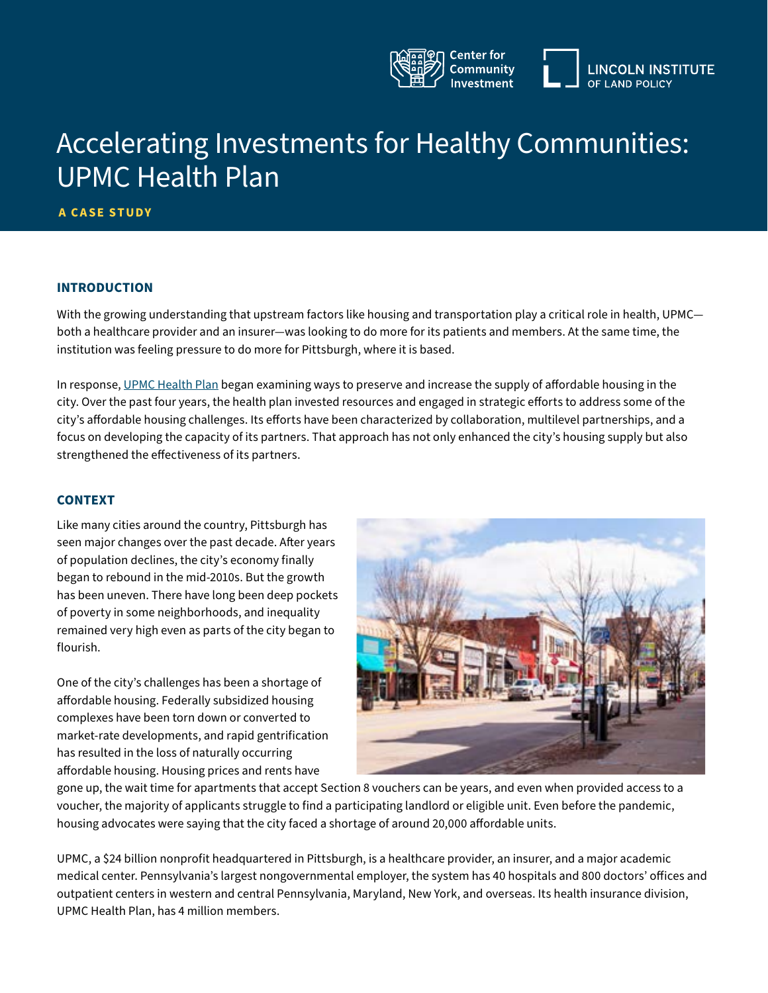

# Accelerating Investments for Healthy Communities: UPMC Health Plan

**A CASE STUDY**

#### **INTRODUCTION**

With the growing understanding that upstream factors like housing and transportation play a critical role in health, UPMC both a healthcare provider and an insurer—was looking to do more for its patients and members. At the same time, the institution was feeling pressure to do more for Pittsburgh, where it is based.

In response, [UPMC Health Plan](http://UPMC Health Plan) began examining ways to preserve and increase the supply of affordable housing in the city. Over the past four years, the health plan invested resources and engaged in strategic efforts to address some of the city's affordable housing challenges. Its efforts have been characterized by collaboration, multilevel partnerships, and a focus on developing the capacity of its partners. That approach has not only enhanced the city's housing supply but also strengthened the effectiveness of its partners.

#### **CONTEXT**

Like many cities around the country, Pittsburgh has seen major changes over the past decade. After years of population declines, the city's economy finally began to rebound in the mid-2010s. But the growth has been uneven. There have long been deep pockets of poverty in some neighborhoods, and inequality remained very high even as parts of the city began to flourish.

One of the city's challenges has been a shortage of affordable housing. Federally subsidized housing complexes have been torn down or converted to market-rate developments, and rapid gentrification has resulted in the loss of naturally occurring affordable housing. Housing prices and rents have



gone up, the wait time for apartments that accept Section 8 vouchers can be years, and even when provided access to a voucher, the majority of applicants struggle to find a participating landlord or eligible unit. Even before the pandemic, housing advocates were saying that the city faced a shortage of around 20,000 affordable units.

UPMC, a \$24 billion nonprofit headquartered in Pittsburgh, is a healthcare provider, an insurer, and a major academic medical center. Pennsylvania's largest nongovernmental employer, the system has 40 hospitals and 800 doctors' offices and outpatient centers in western and central Pennsylvania, Maryland, New York, and overseas. Its health insurance division, UPMC Health Plan, has 4 million members.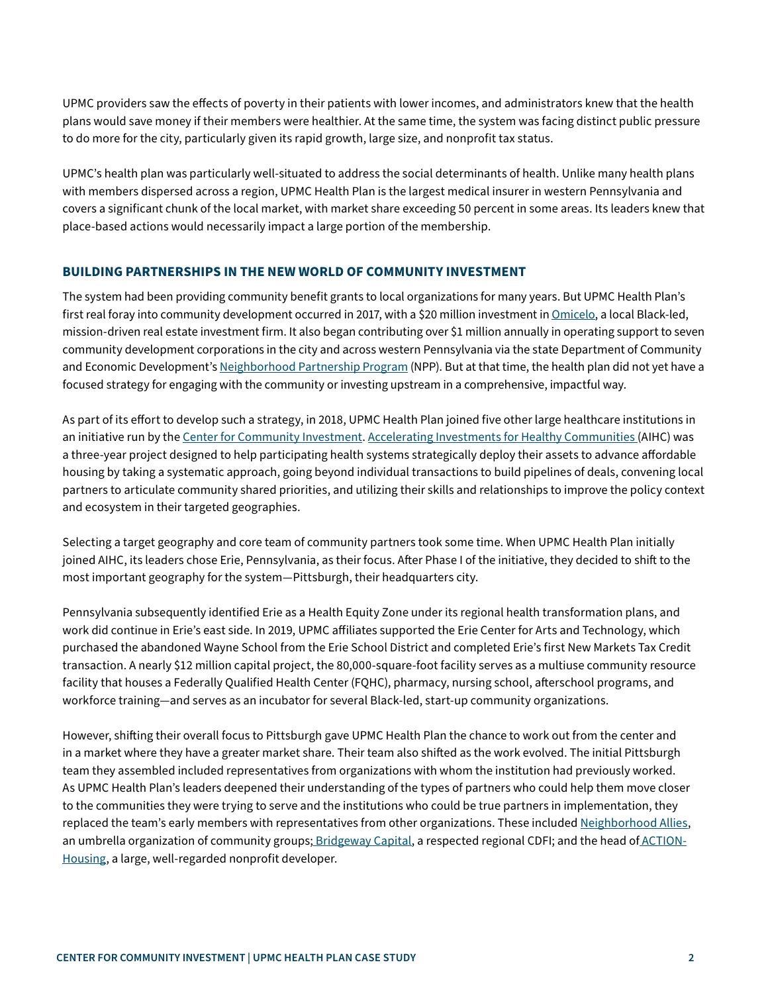UPMC providers saw the effects of poverty in their patients with lower incomes, and administrators knew that the health plans would save money if their members were healthier. At the same time, the system was facing distinct public pressure to do more for the city, particularly given its rapid growth, large size, and nonprofit tax status.

UPMC's health plan was particularly well-situated to address the social determinants of health. Unlike many health plans with members dispersed across a region, UPMC Health Plan is the largest medical insurer in western Pennsylvania and covers a significant chunk of the local market, with market share exceeding 50 percent in some areas. Its leaders knew that place-based actions would necessarily impact a large portion of the membership.

#### **BUILDING PARTNERSHIPS IN THE NEW WORLD OF COMMUNITY INVESTMENT**

The system had been providing community benefit grants to local organizations for many years. But UPMC Health Plan's first real foray into community development occurred in 2017, with a \$20 million investment in [Omicelo,](https://www.omicelo.com/) a local Black-led, mission-driven real estate investment firm. It also began contributing over \$1 million annually in operating support to seven community development corporations in the city and across western Pennsylvania via the state Department of Community and Economic Development's [Neighborhood Partnership Program](https://dced.pa.gov/programs/neighborhood-assistance-program-nap/) (NPP). But at that time, the health plan did not yet have a focused strategy for engaging with the community or investing upstream in a comprehensive, impactful way.

As part of its effort to develop such a strategy, in 2018, UPMC Health Plan joined five other large healthcare institutions in an initiative run by the [Center for Community Investment.](https://centerforcommunityinvestment.org/) [Accelerating Investments for Healthy Communities](https://centerforcommunityinvestment.org/accelerating-investments-healthy-communities) (AIHC) was a three-year project designed to help participating health systems strategically deploy their assets to advance affordable housing by taking a systematic approach, going beyond individual transactions to build pipelines of deals, convening local partners to articulate community shared priorities, and utilizing their skills and relationships to improve the policy context and ecosystem in their targeted geographies.

Selecting a target geography and core team of community partners took some time. When UPMC Health Plan initially joined AIHC, its leaders chose Erie, Pennsylvania, as their focus. After Phase I of the initiative, they decided to shift to the most important geography for the system—Pittsburgh, their headquarters city.

Pennsylvania subsequently identified Erie as a Health Equity Zone under its regional health transformation plans, and work did continue in Erie's east side. In 2019, UPMC affiliates supported the Erie Center for Arts and Technology, which purchased the abandoned Wayne School from the Erie School District and completed Erie's first New Markets Tax Credit transaction. A nearly \$12 million capital project, the 80,000-square-foot facility serves as a multiuse community resource facility that houses a Federally Qualified Health Center (FQHC), pharmacy, nursing school, afterschool programs, and workforce training—and serves as an incubator for several Black-led, start-up community organizations.

However, shifting their overall focus to Pittsburgh gave UPMC Health Plan the chance to work out from the center and in a market where they have a greater market share. Their team also shifted as the work evolved. The initial Pittsburgh team they assembled included representatives from organizations with whom the institution had previously worked. As UPMC Health Plan's leaders deepened their understanding of the types of partners who could help them move closer to the communities they were trying to serve and the institutions who could be true partners in implementation, they replaced the team's early members with representatives from other organizations. These included [Neighborhood Allies](https://neighborhoodallies.org/), an umbrella organization of community groups; [Bridgeway Capital](https://www.bridgewaycapital.org/), a respected regional CDFI; and the head of [ACTION-](https://actionhousing.org/)[Housing,](https://actionhousing.org/) a large, well-regarded nonprofit developer.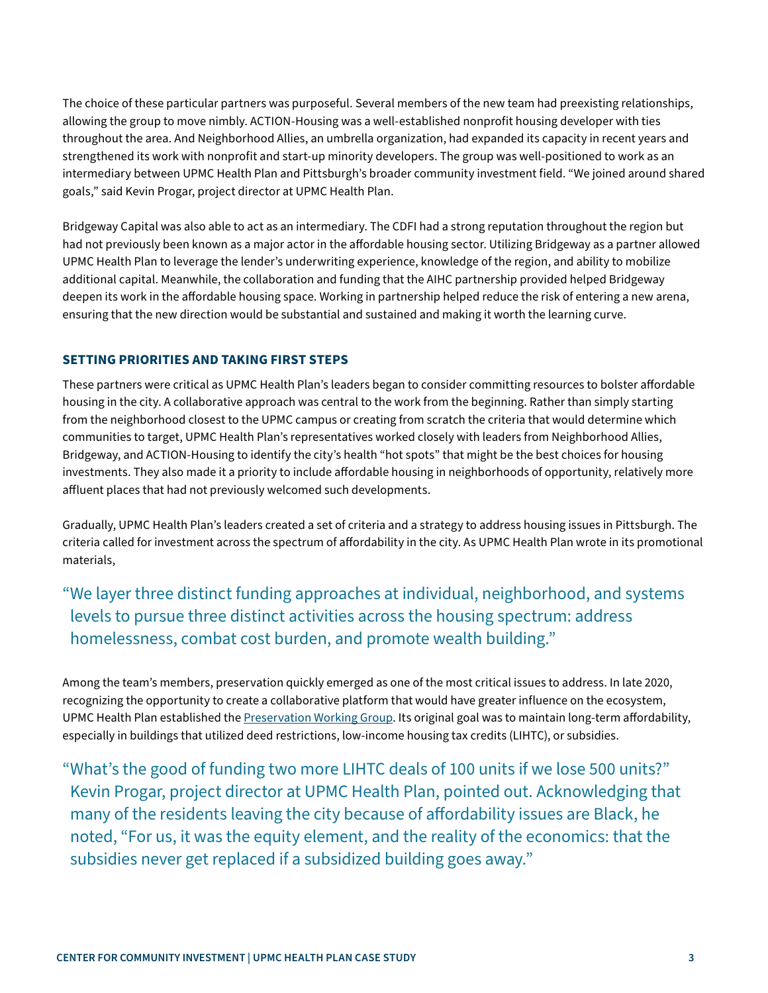The choice of these particular partners was purposeful. Several members of the new team had preexisting relationships, allowing the group to move nimbly. ACTION-Housing was a well-established nonprofit housing developer with ties throughout the area. And Neighborhood Allies, an umbrella organization, had expanded its capacity in recent years and strengthened its work with nonprofit and start-up minority developers. The group was well-positioned to work as an intermediary between UPMC Health Plan and Pittsburgh's broader community investment field. "We joined around shared goals," said Kevin Progar, project director at UPMC Health Plan.

Bridgeway Capital was also able to act as an intermediary. The CDFI had a strong reputation throughout the region but had not previously been known as a major actor in the affordable housing sector. Utilizing Bridgeway as a partner allowed UPMC Health Plan to leverage the lender's underwriting experience, knowledge of the region, and ability to mobilize additional capital. Meanwhile, the collaboration and funding that the AIHC partnership provided helped Bridgeway deepen its work in the affordable housing space. Working in partnership helped reduce the risk of entering a new arena, ensuring that the new direction would be substantial and sustained and making it worth the learning curve.

### **SETTING PRIORITIES AND TAKING FIRST STEPS**

These partners were critical as UPMC Health Plan's leaders began to consider committing resources to bolster affordable housing in the city. A collaborative approach was central to the work from the beginning. Rather than simply starting from the neighborhood closest to the UPMC campus or creating from scratch the criteria that would determine which communities to target, UPMC Health Plan's representatives worked closely with leaders from Neighborhood Allies, Bridgeway, and ACTION-Housing to identify the city's health "hot spots" that might be the best choices for housing investments. They also made it a priority to include affordable housing in neighborhoods of opportunity, relatively more affluent places that had not previously welcomed such developments.

Gradually, UPMC Health Plan's leaders created a set of criteria and a strategy to address housing issues in Pittsburgh. The criteria called for investment across the spectrum of affordability in the city. As UPMC Health Plan wrote in its promotional materials,

# "We layer three distinct funding approaches at individual, neighborhood, and systems levels to pursue three distinct activities across the housing spectrum: address homelessness, combat cost burden, and promote wealth building."

Among the team's members, preservation quickly emerged as one of the most critical issues to address. In late 2020, recognizing the opportunity to create a collaborative platform that would have greater influence on the ecosystem, UPMC Health Plan established the [Preservation Working Group](https://neighborhoodallies.org/how-we-help/preservation-working-group/). Its original goal was to maintain long-term affordability, especially in buildings that utilized deed restrictions, low-income housing tax credits (LIHTC), or subsidies.

"What's the good of funding two more LIHTC deals of 100 units if we lose 500 units?" Kevin Progar, project director at UPMC Health Plan, pointed out. Acknowledging that many of the residents leaving the city because of affordability issues are Black, he noted, "For us, it was the equity element, and the reality of the economics: that the subsidies never get replaced if a subsidized building goes away."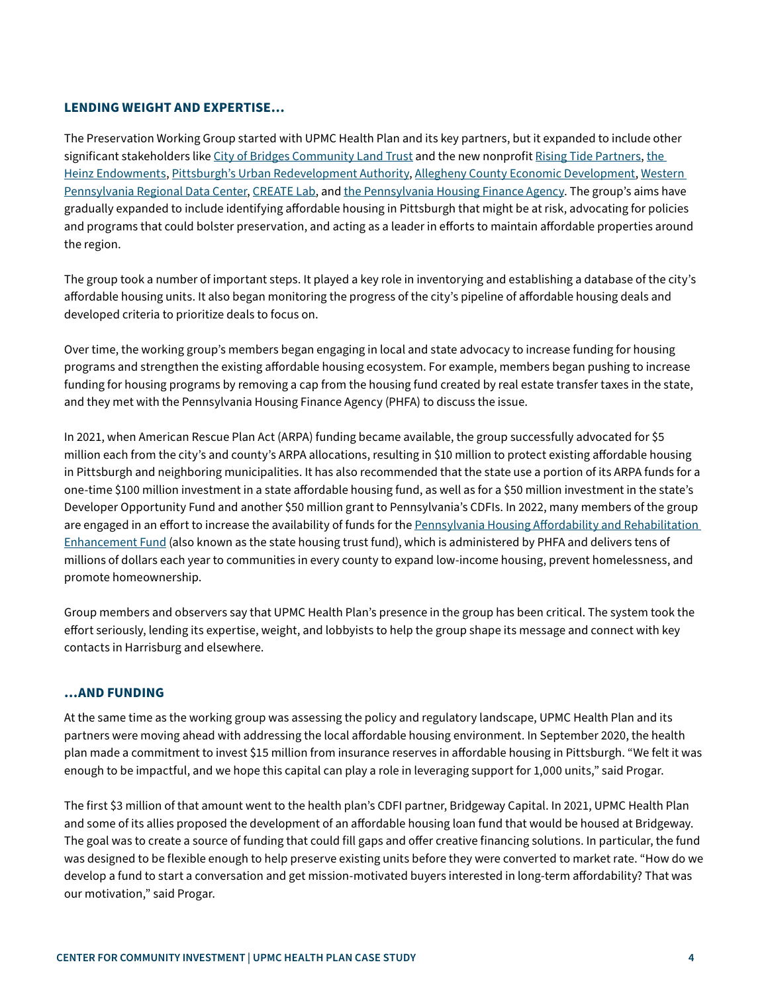#### **LENDING WEIGHT AND EXPERTISE…**

The Preservation Working Group started with UPMC Health Plan and its key partners, but it expanded to include other significant stakeholders like [City of Bridges Community Land Trust](https://cityofbridgesclt.org/) and the new nonprofit [Rising Tide Partners](https://risingtidepartners.org/), the [Heinz Endowments,](https://www.heinz.org/) [Pittsburgh's Urban Redevelopment Authority](https://www.ura.org/), [Allegheny County Economic Development,](https://www.alleghenycounty.us/economic-development/index.aspx) [Western](https://www.wprdc.org/)  [Pennsylvania Regional Data Center,](https://www.wprdc.org/) [CREATE Lab,](https://www.cmucreatelab.org/home) and [the Pennsylvania Housing Finance Agency.](https://www.phfa.org/) The group's aims have gradually expanded to include identifying affordable housing in Pittsburgh that might be at risk, advocating for policies and programs that could bolster preservation, and acting as a leader in efforts to maintain affordable properties around the region.

The group took a number of important steps. It played a key role in inventorying and establishing a database of the city's affordable housing units. It also began monitoring the progress of the city's pipeline of affordable housing deals and developed criteria to prioritize deals to focus on.

Over time, the working group's members began engaging in local and state advocacy to increase funding for housing programs and strengthen the existing affordable housing ecosystem. For example, members began pushing to increase funding for housing programs by removing a cap from the housing fund created by real estate transfer taxes in the state, and they met with the Pennsylvania Housing Finance Agency (PHFA) to discuss the issue.

In 2021, when American Rescue Plan Act (ARPA) funding became available, the group successfully advocated for \$5 million each from the city's and county's ARPA allocations, resulting in \$10 million to protect existing affordable housing in Pittsburgh and neighboring municipalities. It has also recommended that the state use a portion of its ARPA funds for a one-time \$100 million investment in a state affordable housing fund, as well as for a \$50 million investment in the state's Developer Opportunity Fund and another \$50 million grant to Pennsylvania's CDFIs. In 2022, many members of the group are engaged in an effort to increase the availability of funds for the Pennsylvania Housing Affordability and Rehabilitation [Enhancement Fund](https://www.phfa.org/legislation/act105.aspx) (also known as the state housing trust fund), which is administered by PHFA and delivers tens of millions of dollars each year to communities in every county to expand low-income housing, prevent homelessness, and promote homeownership.

Group members and observers say that UPMC Health Plan's presence in the group has been critical. The system took the effort seriously, lending its expertise, weight, and lobbyists to help the group shape its message and connect with key contacts in Harrisburg and elsewhere.

#### **…AND FUNDING**

At the same time as the working group was assessing the policy and regulatory landscape, UPMC Health Plan and its partners were moving ahead with addressing the local affordable housing environment. In September 2020, the health plan made a commitment to invest \$15 million from insurance reserves in affordable housing in Pittsburgh. "We felt it was enough to be impactful, and we hope this capital can play a role in leveraging support for 1,000 units," said Progar.

The first \$3 million of that amount went to the health plan's CDFI partner, Bridgeway Capital. In 2021, UPMC Health Plan and some of its allies proposed the development of an affordable housing loan fund that would be housed at Bridgeway. The goal was to create a source of funding that could fill gaps and offer creative financing solutions. In particular, the fund was designed to be flexible enough to help preserve existing units before they were converted to market rate. "How do we develop a fund to start a conversation and get mission-motivated buyers interested in long-term affordability? That was our motivation," said Progar.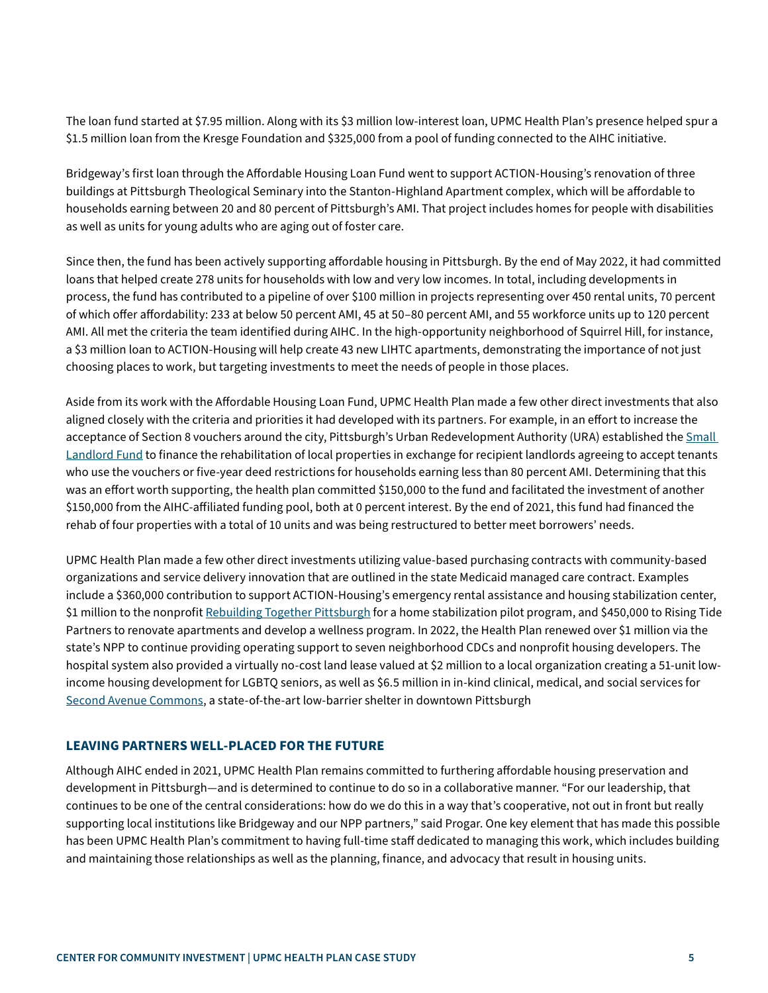The loan fund started at \$7.95 million. Along with its \$3 million low-interest loan, UPMC Health Plan's presence helped spur a \$1.5 million loan from the Kresge Foundation and \$325,000 from a pool of funding connected to the AIHC initiative.

Bridgeway's first loan through the Affordable Housing Loan Fund went to support ACTION-Housing's renovation of three buildings at Pittsburgh Theological Seminary into the Stanton-Highland Apartment complex, which will be affordable to households earning between 20 and 80 percent of Pittsburgh's AMI. That project includes homes for people with disabilities as well as units for young adults who are aging out of foster care.

Since then, the fund has been actively supporting affordable housing in Pittsburgh. By the end of May 2022, it had committed loans that helped create 278 units for households with low and very low incomes. In total, including developments in process, the fund has contributed to a pipeline of over \$100 million in projects representing over 450 rental units, 70 percent of which offer affordability: 233 at below 50 percent AMI, 45 at 50–80 percent AMI, and 55 workforce units up to 120 percent AMI. All met the criteria the team identified during AIHC. In the high-opportunity neighborhood of Squirrel Hill, for instance, a \$3 million loan to ACTION-Housing will help create 43 new LIHTC apartments, demonstrating the importance of not just choosing places to work, but targeting investments to meet the needs of people in those places.

Aside from its work with the Affordable Housing Loan Fund, UPMC Health Plan made a few other direct investments that also aligned closely with the criteria and priorities it had developed with its partners. For example, in an effort to increase the acceptance of Section 8 vouchers around the city, Pittsburgh's Urban Redevelopment Authority (URA) established the [Small](https://www.ura.org/pages/small-landlord-fund)  [Landlord Fund](https://www.ura.org/pages/small-landlord-fund) to finance the rehabilitation of local properties in exchange for recipient landlords agreeing to accept tenants who use the vouchers or five-year deed restrictions for households earning less than 80 percent AMI. Determining that this was an effort worth supporting, the health plan committed \$150,000 to the fund and facilitated the investment of another \$150,000 from the AIHC-affiliated funding pool, both at 0 percent interest. By the end of 2021, this fund had financed the rehab of four properties with a total of 10 units and was being restructured to better meet borrowers' needs.

UPMC Health Plan made a few other direct investments utilizing value-based purchasing contracts with community-based organizations and service delivery innovation that are outlined in the state Medicaid managed care contract. Examples include a \$360,000 contribution to support ACTION-Housing's emergency rental assistance and housing stabilization center, \$1 million to the nonprofit [Rebuilding Together Pittsburgh](https://rtpittsburgh.org/) for a home stabilization pilot program, and \$450,000 to Rising Tide Partners to renovate apartments and develop a wellness program. In 2022, the Health Plan renewed over \$1 million via the state's NPP to continue providing operating support to seven neighborhood CDCs and nonprofit housing developers. The hospital system also provided a virtually no-cost land lease valued at \$2 million to a local organization creating a 51-unit lowincome housing development for LGBTQ seniors, as well as \$6.5 million in in-kind clinical, medical, and social services for [Second Avenue Commons](https://secondavenuecommons.org/), a state-of-the-art low-barrier shelter in downtown Pittsburgh

#### **LEAVING PARTNERS WELL-PLACED FOR THE FUTURE**

Although AIHC ended in 2021, UPMC Health Plan remains committed to furthering affordable housing preservation and development in Pittsburgh—and is determined to continue to do so in a collaborative manner. "For our leadership, that continues to be one of the central considerations: how do we do this in a way that's cooperative, not out in front but really supporting local institutions like Bridgeway and our NPP partners," said Progar. One key element that has made this possible has been UPMC Health Plan's commitment to having full-time staff dedicated to managing this work, which includes building and maintaining those relationships as well as the planning, finance, and advocacy that result in housing units.